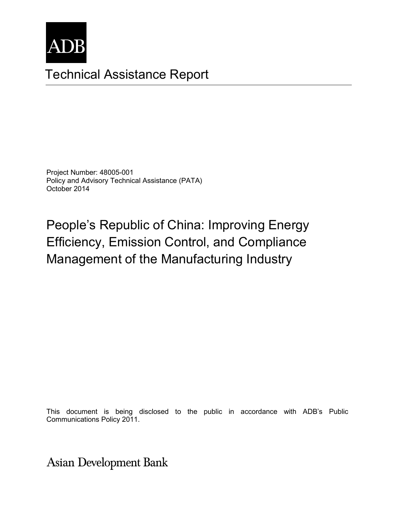

# Technical Assistance Report

Project Number: 48005-001 Policy and Advisory Technical Assistance (PATA) October 2014

# People's Republic of China: Improving Energy Efficiency, Emission Control, and Compliance Management of the Manufacturing Industry

This document is being disclosed to the public in accordance with ADB's Public Communications Policy 2011.

**Asian Development Bank**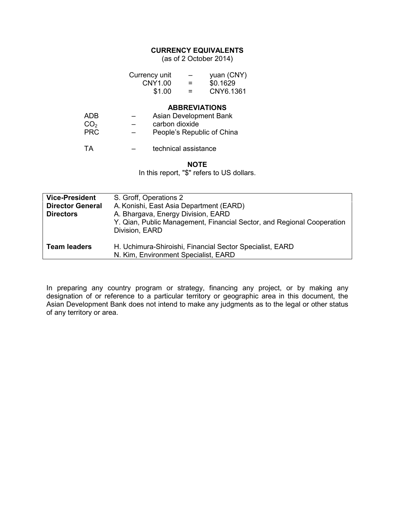#### **CURRENCY EQUIVALENTS**

(as of 2 October 2014)

|                                      | Currency unit<br><b>CNY1.00</b><br>\$1.00 | yuan (CNY)<br>\$0.1629<br>CNY6.1361                                          |
|--------------------------------------|-------------------------------------------|------------------------------------------------------------------------------|
| ADB<br>CO <sub>2</sub><br><b>PRC</b> | carbon dioxide                            | <b>ABBREVIATIONS</b><br>Asian Development Bank<br>People's Republic of China |
| ТA                                   | technical assistance                      |                                                                              |
|                                      |                                           |                                                                              |

#### **NOTE**

In this report, "\$" refers to US dollars.

| <b>Vice-President</b><br><b>Director General</b><br><b>Directors</b> | S. Groff, Operations 2<br>A. Konishi, East Asia Department (EARD)<br>A. Bhargava, Energy Division, EARD<br>Y. Qian, Public Management, Financial Sector, and Regional Cooperation<br>Division, EARD |
|----------------------------------------------------------------------|-----------------------------------------------------------------------------------------------------------------------------------------------------------------------------------------------------|
| <b>Team leaders</b>                                                  | H. Uchimura-Shiroishi, Financial Sector Specialist, EARD<br>N. Kim, Environment Specialist, EARD                                                                                                    |

In preparing any country program or strategy, financing any project, or by making any designation of or reference to a particular territory or geographic area in this document, the Asian Development Bank does not intend to make any judgments as to the legal or other status of any territory or area.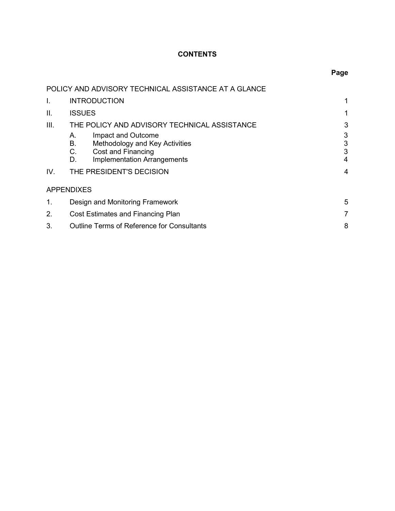### **CONTENTS**

## **Page**

|      | POLICY AND ADVISORY TECHNICAL ASSISTANCE AT A GLANCE |   |
|------|------------------------------------------------------|---|
| I.   | <b>INTRODUCTION</b>                                  | 1 |
| П.   | <b>ISSUES</b>                                        |   |
| III. | THE POLICY AND ADVISORY TECHNICAL ASSISTANCE         | 3 |
|      | Impact and Outcome<br>А.                             | 3 |
|      | В.<br>Methodology and Key Activities                 | 3 |
|      | C.<br>Cost and Financing                             | 3 |
|      | <b>Implementation Arrangements</b><br>D.             | 4 |
| IV.  | THE PRESIDENT'S DECISION                             | 4 |
|      | <b>APPENDIXES</b>                                    |   |
| 1.   | Design and Monitoring Framework                      | 5 |
| 2.   | Cost Estimates and Financing Plan                    | 7 |
| 3.   | <b>Outline Terms of Reference for Consultants</b>    | 8 |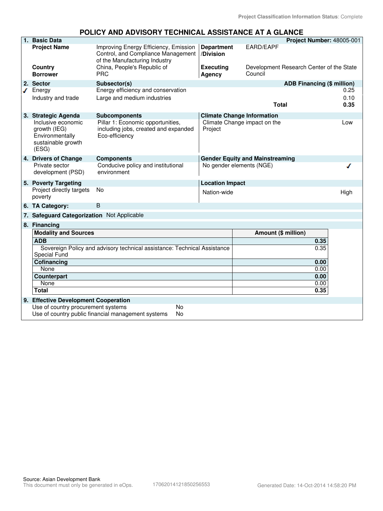#### **POLICY AND ADVISORY TECHNICAL ASSISTANCE AT A GLANCE**

|   | 1. Basic Data                                                                        |                                                                                                              |                                   |                                                     | Project Number: 48005-001  |
|---|--------------------------------------------------------------------------------------|--------------------------------------------------------------------------------------------------------------|-----------------------------------|-----------------------------------------------------|----------------------------|
|   | <b>Project Name</b>                                                                  | Improving Energy Efficiency, Emission<br>Control, and Compliance Management<br>of the Manufacturing Industry | <b>Department</b><br>/Division    | <b>EARD/EAPF</b>                                    |                            |
|   | Country<br><b>Borrower</b>                                                           | China, People's Republic of<br><b>PRC</b>                                                                    | <b>Executing</b><br><b>Agency</b> | Development Research Center of the State<br>Council |                            |
|   | 2. Sector                                                                            | Subsector(s)                                                                                                 |                                   |                                                     | ADB Financing (\$ million) |
| ◢ | Energy                                                                               | Energy efficiency and conservation                                                                           |                                   |                                                     | 0.25                       |
|   | Industry and trade                                                                   | Large and medium industries                                                                                  |                                   | <b>Total</b>                                        | 0.10<br>0.35               |
|   | 3. Strategic Agenda                                                                  | <b>Subcomponents</b>                                                                                         |                                   | <b>Climate Change Information</b>                   |                            |
|   | Inclusive economic<br>growth (IEG)<br>Environmentally<br>sustainable growth<br>(ESG) | Pillar 1: Economic opportunities,<br>including jobs, created and expanded<br>Eco-efficiency                  | Project                           | Climate Change impact on the                        | Low                        |
|   | 4. Drivers of Change                                                                 | <b>Components</b>                                                                                            |                                   | <b>Gender Equity and Mainstreaming</b>              |                            |
|   | Private sector<br>development (PSD)                                                  | Conducive policy and institutional<br>environment                                                            |                                   | No gender elements (NGE)                            |                            |
|   | 5. Poverty Targeting                                                                 |                                                                                                              | <b>Location Impact</b>            |                                                     |                            |
|   | Project directly targets<br>poverty                                                  | No                                                                                                           | Nation-wide                       |                                                     | High                       |
|   | 6. TA Category:                                                                      | B                                                                                                            |                                   |                                                     |                            |
|   | 7. Safeguard Categorization Not Applicable                                           |                                                                                                              |                                   |                                                     |                            |
|   | 8. Financing                                                                         |                                                                                                              |                                   |                                                     |                            |
|   | <b>Modality and Sources</b>                                                          |                                                                                                              |                                   | Amount (\$ million)                                 |                            |
|   | <b>ADB</b>                                                                           |                                                                                                              |                                   |                                                     | 0.35                       |
|   |                                                                                      | Sovereign Policy and advisory technical assistance: Technical Assistance                                     |                                   |                                                     | 0.35                       |
|   | Special Fund                                                                         |                                                                                                              |                                   |                                                     |                            |
|   | Cofinancing<br>None                                                                  |                                                                                                              |                                   |                                                     | 0.00<br>0.00               |
|   | <b>Counterpart</b>                                                                   |                                                                                                              |                                   |                                                     | 0.00                       |
|   | None                                                                                 |                                                                                                              |                                   |                                                     | 0.00                       |
|   | <b>Total</b>                                                                         |                                                                                                              |                                   |                                                     | 0.35                       |
|   | 9. Effective Development Cooperation                                                 |                                                                                                              |                                   |                                                     |                            |
|   | Use of country procurement systems                                                   | <b>No</b>                                                                                                    |                                   |                                                     |                            |
|   |                                                                                      | Use of country public financial management systems<br>No                                                     |                                   |                                                     |                            |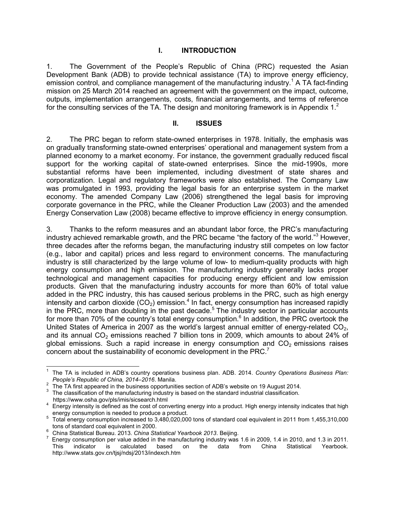#### **I. INTRODUCTION**

1. The Government of the People's Republic of China (PRC) requested the Asian Development Bank (ADB) to provide technical assistance (TA) to improve energy efficiency, emission control, and compliance management of the manufacturing industry.<sup>1</sup> A TA fact-finding mission on 25 March 2014 reached an agreement with the government on the impact, outcome, outputs, implementation arrangements, costs, financial arrangements, and terms of reference for the consulting services of the TA. The design and monitoring framework is in Appendix  $1<sup>2</sup>$ 

#### **II. ISSUES**

2. The PRC began to reform state-owned enterprises in 1978. Initially, the emphasis was on gradually transforming state-owned enterprises' operational and management system from a planned economy to a market economy. For instance, the government gradually reduced fiscal support for the working capital of state-owned enterprises. Since the mid-1990s, more substantial reforms have been implemented, including divestment of state shares and corporatization. Legal and regulatory frameworks were also established. The Company Law was promulgated in 1993, providing the legal basis for an enterprise system in the market economy. The amended Company Law (2006) strengthened the legal basis for improving corporate governance in the PRC, while the Cleaner Production Law (2003) and the amended Energy Conservation Law (2008) became effective to improve efficiency in energy consumption.

3. Thanks to the reform measures and an abundant labor force, the PRC's manufacturing industry achieved remarkable growth, and the PRC became "the factory of the world."<sup>3</sup> However, three decades after the reforms began, the manufacturing industry still competes on low factor (e.g., labor and capital) prices and less regard to environment concerns. The manufacturing industry is still characterized by the large volume of low- to medium-quality products with high energy consumption and high emission. The manufacturing industry generally lacks proper technological and management capacities for producing energy efficient and low emission products. Given that the manufacturing industry accounts for more than 60% of total value added in the PRC industry, this has caused serious problems in the PRC, such as high energy intensity and carbon dioxide (CO<sub>2</sub>) emission.<sup>4</sup> In fact, energy consumption has increased rapidly in the PRC, more than doubling in the past decade.<sup>5</sup> The industry sector in particular accounts for more than 70% of the country's total energy consumption.<sup>6</sup> In addition, the PRC overtook the United States of America in 2007 as the world's largest annual emitter of energy-related  $CO<sub>2</sub>$ , and its annual  $CO<sub>2</sub>$  emissions reached 7 billion tons in 2009, which amounts to about 24% of global emissions. Such a rapid increase in energy consumption and  $CO<sub>2</sub>$  emissions raises concern about the sustainability of economic development in the PRC. $<sup>7</sup>$ </sup>

 1 The TA is included in ADB's country operations business plan. ADB. 2014. *Country Operations Business Plan: People's Republic of China, 2014–2016*. Manila.

 $2^{2}$  The TA first appeared in the business opportunities section of ADB's website on 19 August 2014. 3

The classification of the manufacturing industry is based on the standard industrial classification. https://www.osha.gov/pls/imis/sicsearch.html

<sup>4</sup> Energy intensity is defined as the cost of converting energy into a product. High energy intensity indicates that high energy consumption is needed to produce a product.

<sup>5</sup> Total energy consumption increased to 3,480,020,000 tons of standard coal equivalent in 2011 from 1,455,310,000 tons of standard coal equivalent in 2000.

<sup>6</sup> China Statistical Bureau. 2013. *China Statistical Yearbook 2013*. Beijing.

 $^7$  Energy consumption per value added in the manufacturing industry was 1.6 in 2009, 1.4 in 2010, and 1.3 in 2011. This indicator is calculated based on the data from China Statistical Yearbook. http://www.stats.gov.cn/tjsj/ndsj/2013/indexch.htm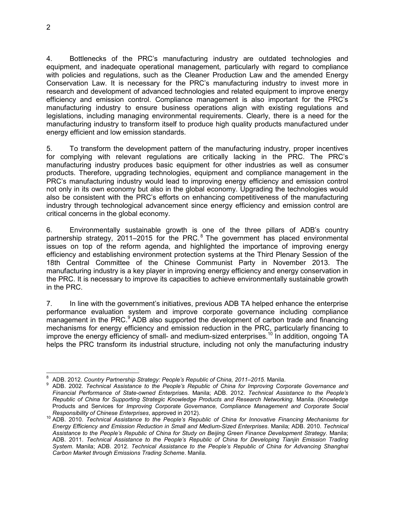4. Bottlenecks of the PRC's manufacturing industry are outdated technologies and equipment, and inadequate operational management, particularly with regard to compliance with policies and regulations, such as the Cleaner Production Law and the amended Energy Conservation Law. It is necessary for the PRC's manufacturing industry to invest more in research and development of advanced technologies and related equipment to improve energy efficiency and emission control. Compliance management is also important for the PRC's manufacturing industry to ensure business operations align with existing regulations and legislations, including managing environmental requirements. Clearly, there is a need for the manufacturing industry to transform itself to produce high quality products manufactured under energy efficient and low emission standards.

5. To transform the development pattern of the manufacturing industry, proper incentives for complying with relevant regulations are critically lacking in the PRC. The PRC's manufacturing industry produces basic equipment for other industries as well as consumer products. Therefore, upgrading technologies, equipment and compliance management in the PRC's manufacturing industry would lead to improving energy efficiency and emission control not only in its own economy but also in the global economy. Upgrading the technologies would also be consistent with the PRC's efforts on enhancing competitiveness of the manufacturing industry through technological advancement since energy efficiency and emission control are critical concerns in the global economy.

6. Environmentally sustainable growth is one of the three pillars of ADB's country partnership strategy, 2011–2015 for the PRC. $8$  The government has placed environmental issues on top of the reform agenda, and highlighted the importance of improving energy efficiency and establishing environment protection systems at the Third Plenary Session of the 18th Central Committee of the Chinese Communist Party in November 2013. The manufacturing industry is a key player in improving energy efficiency and energy conservation in the PRC. It is necessary to improve its capacities to achieve environmentally sustainable growth in the PRC.

7. In line with the government's initiatives, previous ADB TA helped enhance the enterprise performance evaluation system and improve corporate governance including compliance management in the PRC.<sup>9</sup> ADB also supported the development of carbon trade and financing mechanisms for energy efficiency and emission reduction in the PRC, particularly financing to improve the energy efficiency of small- and medium-sized enterprises.<sup>10</sup> In addition, ongoing TA helps the PRC transform its industrial structure, including not only the manufacturing industry

 $\overline{1}$ 8 ADB. 2012. *Country Partnership Strategy: People's Republic of China, 2011–2015.* Manila.

<sup>9</sup> ADB. 2002. *Technical Assistance to the People's Republic of China for Improving Corporate Governance and Financial Performance of State-owned Enterpris*es. Manila; ADB. 2012. *Technical Assistance to the People's Republic of China for Supporting Strategic Knowledge Products and Research Networking*. Manila. (Knowledge Products and Services for *Improving Corporate Governance, Compliance Management and Corporate Social Responsibility of Chinese Enterprises*, approved in 2012).

<sup>10</sup> ADB. 2010. *Technical Assistance to the People's Republic of China for Innovative Financing Mechanisms for Energy Efficiency and Emission Reduction in Small and Medium-Sized Enterprises*. Manila; ADB. 2010. *Technical Assistance to the People's Republic of China for Study on Beijing Green Finance Development Strategy.* Manila; ADB. 2011. *Technical Assistance to the People's Republic of China for Developing Tianjin Emission Trading System*. Manila; ADB. 2012. *Technical Assistance to the People's Republic of China for Advancing Shanghai Carbon Market through Emissions Trading Scheme*. Manila.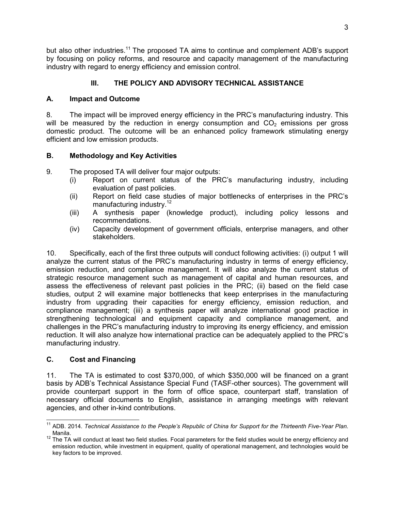but also other industries.<sup>11</sup> The proposed TA aims to continue and complement ADB's support by focusing on policy reforms, and resource and capacity management of the manufacturing industry with regard to energy efficiency and emission control.

#### **III. THE POLICY AND ADVISORY TECHNICAL ASSISTANCE**

#### **A. Impact and Outcome**

8. The impact will be improved energy efficiency in the PRC's manufacturing industry. This will be measured by the reduction in energy consumption and  $CO<sub>2</sub>$  emissions per gross domestic product. The outcome will be an enhanced policy framework stimulating energy efficient and low emission products.

#### **B. Methodology and Key Activities**

9. The proposed TA will deliver four major outputs:

- (i) Report on current status of the PRC's manufacturing industry, including evaluation of past policies.
- (ii) Report on field case studies of major bottlenecks of enterprises in the PRC's manufacturing industry.<sup>12</sup>
- (iii) A synthesis paper (knowledge product), including policy lessons and recommendations.
- (iv) Capacity development of government officials, enterprise managers, and other stakeholders.

10. Specifically, each of the first three outputs will conduct following activities: (i) output 1 will analyze the current status of the PRC's manufacturing industry in terms of energy efficiency, emission reduction, and compliance management. It will also analyze the current status of strategic resource management such as management of capital and human resources, and assess the effectiveness of relevant past policies in the PRC; (ii) based on the field case studies, output 2 will examine major bottlenecks that keep enterprises in the manufacturing industry from upgrading their capacities for energy efficiency, emission reduction, and compliance management; (iii) a synthesis paper will analyze international good practice in strengthening technological and equipment capacity and compliance management, and challenges in the PRC's manufacturing industry to improving its energy efficiency, and emission reduction. It will also analyze how international practice can be adequately applied to the PRC's manufacturing industry.

#### **C. Cost and Financing**

11. The TA is estimated to cost \$370,000, of which \$350,000 will be financed on a grant basis by ADB's Technical Assistance Special Fund (TASF-other sources). The government will provide counterpart support in the form of office space, counterpart staff, translation of necessary official documents to English, assistance in arranging meetings with relevant agencies, and other in-kind contributions.

 $\overline{a}$ <sup>11</sup> ADB. 2014. *Technical Assistance to the People's Republic of China for Support for the Thirteenth Five-Year Plan*. Manila.

<sup>&</sup>lt;sup>12</sup> The TA will conduct at least two field studies. Focal parameters for the field studies would be energy efficiency and emission reduction, while investment in equipment, quality of operational management, and technologies would be key factors to be improved.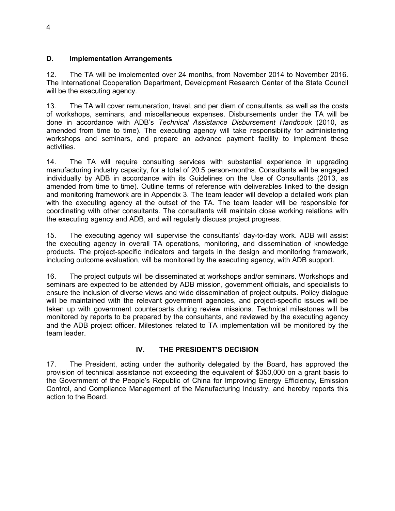#### **D. Implementation Arrangements**

12. The TA will be implemented over 24 months, from November 2014 to November 2016. The International Cooperation Department, Development Research Center of the State Council will be the executing agency.

13. The TA will cover remuneration, travel, and per diem of consultants, as well as the costs of workshops, seminars, and miscellaneous expenses. Disbursements under the TA will be done in accordance with ADB's *Technical Assistance Disbursement Handbook* (2010, as amended from time to time). The executing agency will take responsibility for administering workshops and seminars, and prepare an advance payment facility to implement these activities.

14. The TA will require consulting services with substantial experience in upgrading manufacturing industry capacity, for a total of 20.5 person-months. Consultants will be engaged individually by ADB in accordance with its Guidelines on the Use of Consultants (2013, as amended from time to time). Outline terms of reference with deliverables linked to the design and monitoring framework are in Appendix 3. The team leader will develop a detailed work plan with the executing agency at the outset of the TA. The team leader will be responsible for coordinating with other consultants. The consultants will maintain close working relations with the executing agency and ADB, and will regularly discuss project progress.

15. The executing agency will supervise the consultants' day-to-day work. ADB will assist the executing agency in overall TA operations, monitoring, and dissemination of knowledge products. The project-specific indicators and targets in the design and monitoring framework, including outcome evaluation, will be monitored by the executing agency, with ADB support.

16. The project outputs will be disseminated at workshops and/or seminars. Workshops and seminars are expected to be attended by ADB mission, government officials, and specialists to ensure the inclusion of diverse views and wide dissemination of project outputs. Policy dialogue will be maintained with the relevant government agencies, and project-specific issues will be taken up with government counterparts during review missions. Technical milestones will be monitored by reports to be prepared by the consultants, and reviewed by the executing agency and the ADB project officer. Milestones related to TA implementation will be monitored by the team leader.

#### **IV. THE PRESIDENT'S DECISION**

17. The President, acting under the authority delegated by the Board, has approved the provision of technical assistance not exceeding the equivalent of \$350,000 on a grant basis to the Government of the People's Republic of China for Improving Energy Efficiency, Emission Control, and Compliance Management of the Manufacturing Industry, and hereby reports this action to the Board.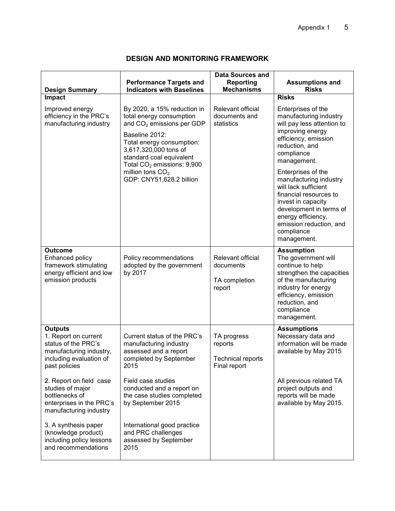### **DESIGN AND MONITORING FRAMEWORK**

|                                                                                                                                      |                                                                                                                                                                                                                                                | Data Sources and                                                   |                                                                                                                                                                                                                               |
|--------------------------------------------------------------------------------------------------------------------------------------|------------------------------------------------------------------------------------------------------------------------------------------------------------------------------------------------------------------------------------------------|--------------------------------------------------------------------|-------------------------------------------------------------------------------------------------------------------------------------------------------------------------------------------------------------------------------|
| <b>Design Summary</b>                                                                                                                | <b>Performance Targets and</b><br><b>Indicators with Baselines</b>                                                                                                                                                                             | Reporting<br><b>Mechanisms</b>                                     | <b>Assumptions and</b><br><b>Risks</b>                                                                                                                                                                                        |
| Impact                                                                                                                               |                                                                                                                                                                                                                                                |                                                                    | <b>Risks</b>                                                                                                                                                                                                                  |
| Improved energy<br>efficiency in the PRC's<br>manufacturing industry                                                                 | By 2020, a 15% reduction in<br>total energy consumption<br>and CO <sub>2</sub> emissions per GDP<br>Baseline 2012:<br>Total energy consumption:<br>3,617,320,000 tons of<br>standard coal equivalent<br>Total CO <sub>2</sub> emissions: 9,900 | Relevant official<br>documents and<br>statistics                   | Enterprises of the<br>manufacturing industry<br>will pay less attention to<br>improving energy<br>efficiency, emission<br>reduction, and<br>compliance<br>management.                                                         |
|                                                                                                                                      | million tons $CO2$<br>GDP: CNY51,628.2 billion                                                                                                                                                                                                 |                                                                    | Enterprises of the<br>manufacturing industry<br>will lack sufficient<br>financial resources to<br>invest in capacity<br>development in terms of<br>energy efficiency,<br>emission reduction, and<br>compliance<br>management. |
| <b>Outcome</b><br>Enhanced policy<br>framework stimulating<br>energy efficient and low<br>emission products                          | Policy recommendations<br>adopted by the government<br>by 2017                                                                                                                                                                                 | Relevant official<br>documents<br>TA completion<br>report          | <b>Assumption</b><br>The government will<br>continue to help<br>strengthen the capacities<br>of the manufacturing<br>industry for energy<br>efficiency, emission<br>reduction, and<br>compliance<br>management.               |
| <b>Outputs</b><br>1. Report on current<br>status of the PRC's<br>manufacturing industry,<br>including evaluation of<br>past policies | Current status of the PRC's<br>manufacturing industry<br>assessed and a report<br>completed by September<br>2015                                                                                                                               | TA progress<br>reports<br><b>Technical reports</b><br>Final report | <b>Assumptions</b><br>Necessary data and<br>information will be made<br>available by May 2015                                                                                                                                 |
| 2. Report on field case<br>studies of major<br>bottlenecks of<br>enterprises in the PRC's<br>manufacturing industry                  | Field case studies<br>conducted and a report on<br>the case studies completed<br>by September 2015                                                                                                                                             |                                                                    | All previous related TA<br>project outputs and<br>reports will be made<br>available by May 2015.                                                                                                                              |
| 3. A synthesis paper<br>(knowledge product)<br>including policy lessons<br>and recommendations                                       | International good practice<br>and PRC challenges<br>assessed by September<br>2015                                                                                                                                                             |                                                                    |                                                                                                                                                                                                                               |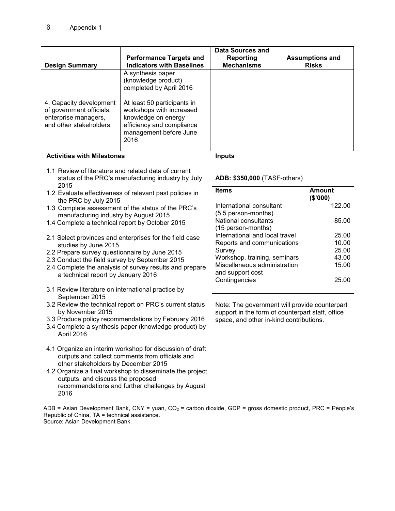|                                                                                                       |                                                                                                                                                                                                                             | <b>Data Sources and</b>                                                                           |  |                                        |
|-------------------------------------------------------------------------------------------------------|-----------------------------------------------------------------------------------------------------------------------------------------------------------------------------------------------------------------------------|---------------------------------------------------------------------------------------------------|--|----------------------------------------|
| <b>Design Summary</b>                                                                                 | <b>Performance Targets and</b><br><b>Indicators with Baselines</b>                                                                                                                                                          | <b>Reporting</b><br><b>Mechanisms</b>                                                             |  | <b>Assumptions and</b><br><b>Risks</b> |
| 4. Capacity development<br>of government officials,<br>enterprise managers,<br>and other stakeholders | A synthesis paper<br>(knowledge product)<br>completed by April 2016<br>At least 50 participants in<br>workshops with increased<br>knowledge on energy<br>efficiency and compliance<br>management before June<br>2016        |                                                                                                   |  |                                        |
| <b>Activities with Milestones</b>                                                                     |                                                                                                                                                                                                                             | <b>Inputs</b>                                                                                     |  |                                        |
| 1.1 Review of literature and related data of current<br>2015                                          | status of the PRC's manufacturing industry by July                                                                                                                                                                          | ADB: \$350,000 (TASF-others)                                                                      |  |                                        |
| the PRC by July 2015                                                                                  | 1.2 Evaluate effectiveness of relevant past policies in                                                                                                                                                                     | <b>Items</b>                                                                                      |  | <b>Amount</b><br>(\$'000)              |
|                                                                                                       | 1.3 Complete assessment of the status of the PRC's                                                                                                                                                                          | International consultant                                                                          |  | 122.00                                 |
| manufacturing industry by August 2015<br>1.4 Complete a technical report by October 2015              |                                                                                                                                                                                                                             | (5.5 person-months)<br>National consultants<br>(15 person-months)                                 |  | 85.00                                  |
|                                                                                                       | 2.1 Select provinces and enterprises for the field case                                                                                                                                                                     | International and local travel<br>Reports and communications                                      |  | 25.00<br>10.00                         |
| studies by June 2015<br>2.2 Prepare survey questionnaire by June 2015                                 |                                                                                                                                                                                                                             | Survey                                                                                            |  | 25.00                                  |
| 2.3 Conduct the field survey by September 2015                                                        |                                                                                                                                                                                                                             | Workshop, training, seminars<br>Miscellaneous administration                                      |  | 43.00<br>15.00                         |
| a technical report by January 2016                                                                    | 2.4 Complete the analysis of survey results and prepare                                                                                                                                                                     | and support cost<br>Contingencies                                                                 |  | 25.00                                  |
| 3.1 Review literature on international practice by<br>September 2015                                  |                                                                                                                                                                                                                             |                                                                                                   |  |                                        |
| 3.2 Review the technical report on PRC's current status<br>by November 2015                           |                                                                                                                                                                                                                             | Note: The government will provide counterpart<br>support in the form of counterpart staff, office |  |                                        |
| April 2016                                                                                            | 3.3 Produce policy recommendations by February 2016<br>3.4 Complete a synthesis paper (knowledge product) by                                                                                                                | space, and other in-kind contributions.                                                           |  |                                        |
| other stakeholders by December 2015<br>outputs, and discuss the proposed<br>2016                      | 4.1 Organize an interim workshop for discussion of draft<br>outputs and collect comments from officials and<br>4.2 Organize a final workshop to disseminate the project<br>recommendations and further challenges by August |                                                                                                   |  |                                        |

ADB = Asian Development Bank, CNY = yuan, CO<sub>2</sub> = carbon dioxide, GDP = gross domestic product, PRC = People's Republic of China, TA = technical assistance. Source: Asian Development Bank.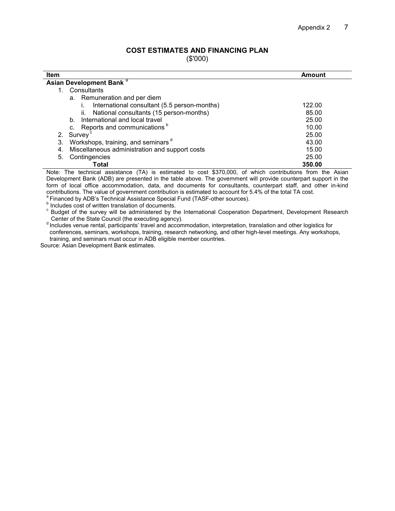#### **COST ESTIMATES AND FINANCING PLAN**

(\$'000)

| Asian Development Bank <sup>a</sup>                  |        |
|------------------------------------------------------|--------|
| Consultants                                          |        |
| a. Remuneration and per diem                         |        |
| International consultant (5.5 person-months)         | 122.00 |
| National consultants (15 person-months)<br>II.       | 85.00  |
| b. International and local travel                    | 25.00  |
| c. Reports and communications <sup>b</sup>           | 10.00  |
| 2. Survey <sup>c</sup>                               | 25.00  |
| Workshops, training, and seminars d<br>3.            | 43.00  |
| Miscellaneous administration and support costs<br>4. | 15.00  |
| Contingencies<br>5.                                  | 25.00  |
| Total                                                | 350.00 |

 Note: The technical assistance (TA) is estimated to cost \$370,000, of which contributions from the Asian Development Bank (ADB) are presented in the table above. The government will provide counterpart support in the form of local office accommodation, data, and documents for consultants, counterpart staff, and other in-kind contributions. The value of government contribution is estimated to account for 5.4% of the total TA cost. <sup>a</sup> Financed by ADB's Technical Assistance Special Fund (TASF-other sources).

**b** Includes cost of written translation of documents.

<sup>c</sup> Budget of the survey will be administered by the International Cooperation Department, Development Research Center of the State Council (the executing agency).

d Includes venue rental, participants' travel and accommodation, interpretation, translation and other logistics for conferences, seminars, workshops, training, research networking, and other high-level meetings. Any workshops, training, and seminars must occur in ADB eligible member countries.

Source: Asian Development Bank estimates.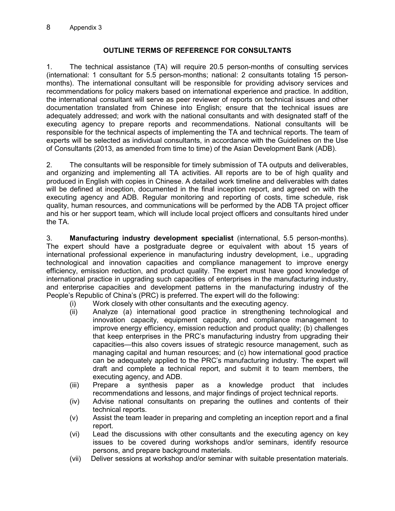#### **OUTLINE TERMS OF REFERENCE FOR CONSULTANTS**

1. The technical assistance (TA) will require 20.5 person-months of consulting services (international: 1 consultant for 5.5 person-months; national: 2 consultants totaling 15 personmonths). The international consultant will be responsible for providing advisory services and recommendations for policy makers based on international experience and practice. In addition, the international consultant will serve as peer reviewer of reports on technical issues and other documentation translated from Chinese into English; ensure that the technical issues are adequately addressed; and work with the national consultants and with designated staff of the executing agency to prepare reports and recommendations. National consultants will be responsible for the technical aspects of implementing the TA and technical reports. The team of experts will be selected as individual consultants, in accordance with the Guidelines on the Use of Consultants (2013, as amended from time to time) of the Asian Development Bank (ADB).

2. The consultants will be responsible for timely submission of TA outputs and deliverables, and organizing and implementing all TA activities. All reports are to be of high quality and produced in English with copies in Chinese. A detailed work timeline and deliverables with dates will be defined at inception, documented in the final inception report, and agreed on with the executing agency and ADB. Regular monitoring and reporting of costs, time schedule, risk quality, human resources, and communications will be performed by the ADB TA project officer and his or her support team, which will include local project officers and consultants hired under the TA.

3. **Manufacturing industry development specialist** (international, 5.5 person-months). The expert should have a postgraduate degree or equivalent with about 15 years of international professional experience in manufacturing industry development, i.e., upgrading technological and innovation capacities and compliance management to improve energy efficiency, emission reduction, and product quality. The expert must have good knowledge of international practice in upgrading such capacities of enterprises in the manufacturing industry, and enterprise capacities and development patterns in the manufacturing industry of the People's Republic of China's (PRC) is preferred. The expert will do the following:

- (i) Work closely with other consultants and the executing agency.
- (ii) Analyze (a) international good practice in strengthening technological and innovation capacity, equipment capacity, and compliance management to improve energy efficiency, emission reduction and product quality; (b) challenges that keep enterprises in the PRC's manufacturing industry from upgrading their capacities—this also covers issues of strategic resource management, such as managing capital and human resources; and (c) how international good practice can be adequately applied to the PRC's manufacturing industry. The expert will draft and complete a technical report, and submit it to team members, the executing agency, and ADB.
- (iii) Prepare a synthesis paper as a knowledge product that includes recommendations and lessons, and major findings of project technical reports.
- (iv) Advise national consultants on preparing the outlines and contents of their technical reports.
- (v) Assist the team leader in preparing and completing an inception report and a final report.
- (vi) Lead the discussions with other consultants and the executing agency on key issues to be covered during workshops and/or seminars, identify resource persons, and prepare background materials.
- (vii) Deliver sessions at workshop and/or seminar with suitable presentation materials.